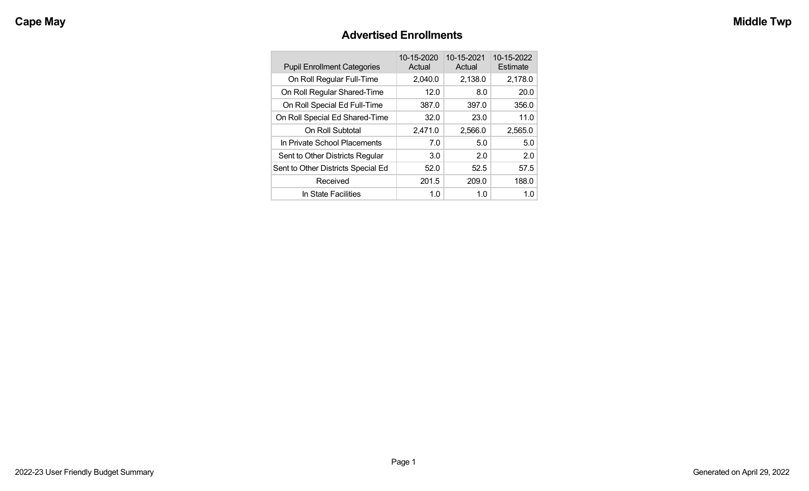## **Advertised Enrollments**

| <b>Pupil Enrollment Categories</b> | 10-15-2020<br>Actual | 10-15-2021<br>Actual | 10-15-2022<br>Estimate |
|------------------------------------|----------------------|----------------------|------------------------|
| On Roll Regular Full-Time          | 2,040.0              | 2,138.0              | 2,178.0                |
| On Roll Regular Shared-Time        | 12.0                 | 8.0                  | 20.0                   |
| On Roll Special Ed Full-Time       | 387.0                | 397.0                | 356.0                  |
| On Roll Special Ed Shared-Time     | 32.0                 | 23.0                 | 11.0                   |
| On Roll Subtotal                   | 2,471.0              | 2,566.0              | 2,565.0                |
| In Private School Placements       | 7.0                  | 5.0                  | 5.0                    |
| Sent to Other Districts Regular    | 3.0                  | 2.0                  | 2.0                    |
| Sent to Other Districts Special Ed | 52.0                 | 52.5                 | 57.5                   |
| Received                           | 201.5                | 209.0                | 188.0                  |
| In State Facilities                | 1.0                  | 1.0                  | 1.0                    |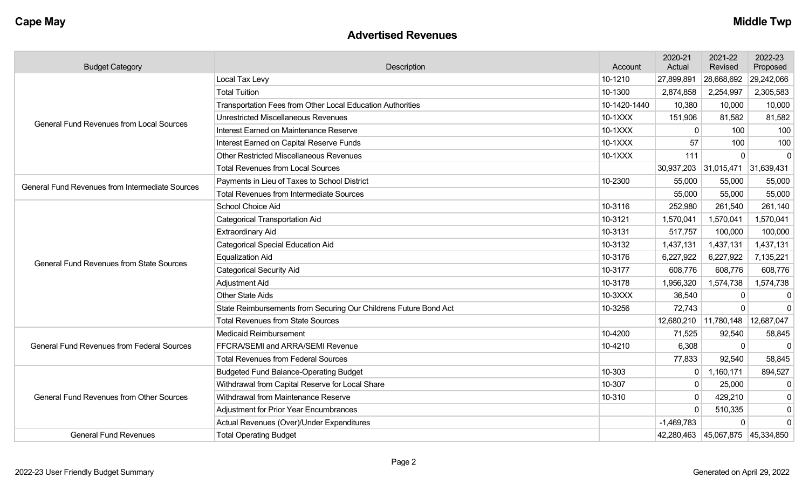#### **Advertised Revenues**

| <b>Budget Category</b>                            | Description                                                      | Account      | 2020-21<br>Actual | 2021-22<br>Revised                   | 2022-23<br>Proposed |
|---------------------------------------------------|------------------------------------------------------------------|--------------|-------------------|--------------------------------------|---------------------|
|                                                   | Local Tax Levy                                                   | 10-1210      | 27,899,891        | 28,668,692                           | 29,242,066          |
|                                                   | <b>Total Tuition</b>                                             | 10-1300      | 2,874,858         | 2,254,997                            | 2,305,583           |
|                                                   | Transportation Fees from Other Local Education Authorities       | 10-1420-1440 | 10,380            | 10,000                               | 10,000              |
| <b>General Fund Revenues from Local Sources</b>   | Unrestricted Miscellaneous Revenues                              | 10-1XXX      | 151,906           | 81,582                               | 81,582              |
|                                                   | Interest Earned on Maintenance Reserve                           | 10-1XXX      | $\Omega$          | 100                                  | 100                 |
|                                                   | Interest Earned on Capital Reserve Funds                         | 10-1XXX      | 57                | 100                                  | 100                 |
|                                                   | Other Restricted Miscellaneous Revenues                          | 10-1XXX      | 111               | $\Omega$                             | $\mathbf 0$         |
|                                                   | <b>Total Revenues from Local Sources</b>                         |              |                   | 30,937,203 31,015,471 31,639,431     |                     |
| General Fund Revenues from Intermediate Sources   | Payments in Lieu of Taxes to School District                     | 10-2300      | 55,000            | 55,000                               | 55,000              |
|                                                   | <b>Total Revenues from Intermediate Sources</b>                  |              | 55,000            | 55,000                               | 55,000              |
|                                                   | School Choice Aid                                                | 10-3116      | 252,980           | 261,540                              | 261,140             |
|                                                   | <b>Categorical Transportation Aid</b>                            | 10-3121      | 1,570,041         | 1,570,041                            | 1,570,041           |
|                                                   | <b>Extraordinary Aid</b>                                         | 10-3131      | 517,757           | 100,000                              | 100,000             |
|                                                   | <b>Categorical Special Education Aid</b>                         | 10-3132      | 1,437,131         | 1,437,131                            | 1,437,131           |
| <b>General Fund Revenues from State Sources</b>   | <b>Equalization Aid</b>                                          | 10-3176      | 6,227,922         | 6,227,922                            | 7,135,221           |
|                                                   | <b>Categorical Security Aid</b>                                  | 10-3177      | 608,776           | 608,776                              | 608,776             |
|                                                   | Adjustment Aid                                                   | 10-3178      | 1,956,320         | 1,574,738                            | 1,574,738           |
|                                                   | <b>Other State Aids</b>                                          | 10-3XXX      | 36,540            | 0                                    | $\mathbf{0}$        |
|                                                   | State Reimbursements from Securing Our Childrens Future Bond Act | 10-3256      | 72,743            | $\Omega$                             | $\Omega$            |
|                                                   | <b>Total Revenues from State Sources</b>                         |              |                   | 12,680,210   11,780,148   12,687,047 |                     |
|                                                   | Medicaid Reimbursement                                           | 10-4200      | 71,525            | 92,540                               | 58,845              |
| <b>General Fund Revenues from Federal Sources</b> | FFCRA/SEMI and ARRA/SEMI Revenue                                 | 10-4210      | 6,308             | $\mathbf{0}$                         | $\mathbf 0$         |
|                                                   | <b>Total Revenues from Federal Sources</b>                       |              | 77,833            | 92,540                               | 58,845              |
|                                                   | <b>Budgeted Fund Balance-Operating Budget</b>                    | 10-303       | 0                 | 1,160,171                            | 894,527             |
|                                                   | Withdrawal from Capital Reserve for Local Share                  | 10-307       | $\mathbf 0$       | 25,000                               | $\mathbf 0$         |
| <b>General Fund Revenues from Other Sources</b>   | Withdrawal from Maintenance Reserve                              | 10-310       | $\Omega$          | 429,210                              | $\mathbf 0$         |
|                                                   | <b>Adjustment for Prior Year Encumbrances</b>                    |              | $\mathbf 0$       | 510,335                              | $\pmb{0}$           |
|                                                   | Actual Revenues (Over)/Under Expenditures                        |              | $-1,469,783$      | 0                                    | $\mathbf{0}$        |
| <b>General Fund Revenues</b>                      | <b>Total Operating Budget</b>                                    |              |                   | 42,280,463 45,067,875 45,334,850     |                     |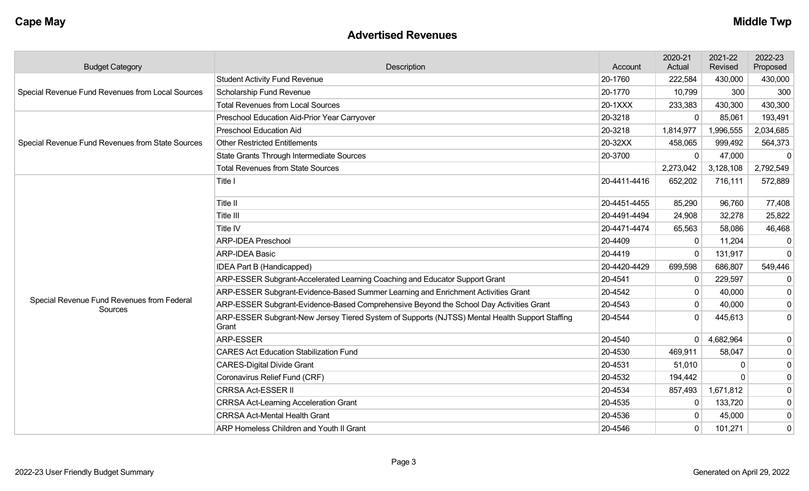#### **Advertised Revenues**

| <b>Budget Category</b>                                | Description                                                                                             | Account      | 2020-21<br>Actual | 2021-22<br>Revised | 2022-23<br>Proposed |
|-------------------------------------------------------|---------------------------------------------------------------------------------------------------------|--------------|-------------------|--------------------|---------------------|
|                                                       | <b>Student Activity Fund Revenue</b>                                                                    | 20-1760      | 222,584           | 430,000            | 430,000             |
| Special Revenue Fund Revenues from Local Sources      | Scholarship Fund Revenue                                                                                | 20-1770      | 10,799            | 300                | 300                 |
|                                                       | <b>Total Revenues from Local Sources</b>                                                                | 20-1XXX      | 233,383           | 430,300            | 430,300             |
|                                                       | Preschool Education Aid-Prior Year Carryover                                                            | 20-3218      | $\Omega$          | 85,061             | 193,491             |
|                                                       | <b>Preschool Education Aid</b>                                                                          | 20-3218      | 1,814,977         | 1,996,555          | 2,034,685           |
| Special Revenue Fund Revenues from State Sources      | <b>Other Restricted Entitlements</b>                                                                    | 20-32XX      | 458,065           | 999,492            | 564,373             |
|                                                       | State Grants Through Intermediate Sources                                                               | 20-3700      | $\mathbf 0$       | 47,000             | -0                  |
|                                                       | <b>Total Revenues from State Sources</b>                                                                |              | 2,273,042         | 3,128,108          | 2,792,549           |
|                                                       | Title I                                                                                                 | 20-4411-4416 | 652,202           | 716,111            | 572,889             |
|                                                       | Title II                                                                                                | 20-4451-4455 | 85,290            | 96,760             | 77,408              |
|                                                       | Title III                                                                                               | 20-4491-4494 | 24,908            | 32,278             | 25,822              |
|                                                       | Title IV                                                                                                | 20-4471-4474 | 65,563            | 58,086             | 46,468              |
|                                                       | <b>ARP-IDEA Preschool</b>                                                                               | 20-4409      | $\mathbf 0$       | 11,204             | -0                  |
|                                                       | <b>ARP-IDEA Basic</b>                                                                                   | 20-4419      | $\Omega$          | 131,917            | $\mathbf 0$         |
|                                                       | <b>IDEA Part B (Handicapped)</b>                                                                        | 20-4420-4429 | 699,598           | 686,807            | 549,446             |
|                                                       | ARP-ESSER Subgrant-Accelerated Learning Coaching and Educator Support Grant                             | 20-4541      | $\mathbf 0$       | 229,597            | $\mathbf 0$         |
|                                                       | ARP-ESSER Subgrant-Evidence-Based Summer Learning and Enrichment Activities Grant                       | 20-4542      | $\mathbf 0$       | 40,000             | 0                   |
| Special Revenue Fund Revenues from Federal<br>Sources | ARP-ESSER Subgrant-Evidence-Based Comprehensive Beyond the School Day Activities Grant                  | 20-4543      | $\Omega$          | 40,000             | $\mathbf 0$         |
|                                                       | ARP-ESSER Subgrant-New Jersey Tiered System of Supports (NJTSS) Mental Health Support Staffing<br>Grant | 20-4544      | $\Omega$          | 445,613            | $\mathbf 0$         |
|                                                       | <b>ARP-ESSER</b>                                                                                        | 20-4540      | $\overline{0}$    | 4,682,964          | 0                   |
|                                                       | <b>CARES Act Education Stabilization Fund</b>                                                           | 20-4530      | 469,911           | 58,047             | $\mathbf 0$         |
|                                                       | <b>CARES-Digital Divide Grant</b>                                                                       | 20-4531      | 51,010            | O                  | $\pmb{0}$           |
|                                                       | Coronavirus Relief Fund (CRF)                                                                           | 20-4532      | 194,442           | $\Omega$           | $\mathbf 0$         |
|                                                       | <b>CRRSA Act-ESSER II</b>                                                                               | 20-4534      | 857,493           | 1,671,812          | $\mathbf 0$         |
|                                                       | <b>CRRSA Act-Learning Acceleration Grant</b>                                                            | 20-4535      | 0                 | 133,720            | $\mathbf 0$         |
|                                                       | <b>CRRSA Act-Mental Health Grant</b>                                                                    | 20-4536      | $\mathbf{0}$      | 45,000             | $\mathbf 0$         |
|                                                       | ARP Homeless Children and Youth II Grant                                                                | 20-4546      | $\mathbf 0$       | 101,271            | $\mathbf 0$         |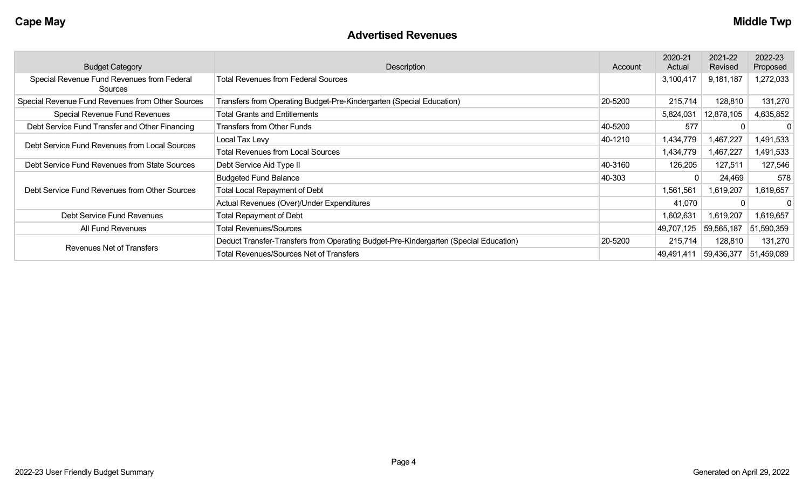#### **Advertised Revenues**

| <b>Budget Category</b>                                | Description                                                                          | Account | 2020-21<br>Actual | 2021-22<br>Revised | 2022-23<br>Proposed |
|-------------------------------------------------------|--------------------------------------------------------------------------------------|---------|-------------------|--------------------|---------------------|
| Special Revenue Fund Revenues from Federal<br>Sources | <b>Total Revenues from Federal Sources</b>                                           |         | 3,100,417         | 9,181,187          | 1,272,033           |
| Special Revenue Fund Revenues from Other Sources      | Transfers from Operating Budget-Pre-Kindergarten (Special Education)                 | 20-5200 | 215,714           | 128,810            | 131,270             |
| Special Revenue Fund Revenues                         | <b>Total Grants and Entitlements</b>                                                 |         | 5,824,031         | 12,878,105         | 4,635,852           |
| Debt Service Fund Transfer and Other Financing        | <b>Transfers from Other Funds</b>                                                    | 40-5200 | 577               |                    | $\mathbf{0}$        |
|                                                       | Local Tax Levy                                                                       | 40-1210 | 1,434,779         | 1,467,227          | 1,491,533           |
| Debt Service Fund Revenues from Local Sources         | <b>Total Revenues from Local Sources</b>                                             |         | 1,434,779         | 1,467,227          | 1,491,533           |
| Debt Service Fund Revenues from State Sources         | Debt Service Aid Type II                                                             | 40-3160 | 126,205           | 127,511            | 127,546             |
|                                                       | <b>Budgeted Fund Balance</b>                                                         | 40-303  |                   | 24,469             | 578                 |
| Debt Service Fund Revenues from Other Sources         | <b>Total Local Repayment of Debt</b>                                                 |         | 1,561,561         | 1,619,207          | 1,619,657           |
|                                                       | Actual Revenues (Over)/Under Expenditures                                            |         | 41,070            |                    | $\Omega$            |
| Debt Service Fund Revenues                            | <b>Total Repayment of Debt</b>                                                       |         | 1,602,631         | 1,619,207          | 1,619,657           |
| All Fund Revenues                                     | <b>Total Revenues/Sources</b>                                                        |         | 49,707,125        | 59,565,187         | 51,590,359          |
| Revenues Net of Transfers                             | Deduct Transfer-Transfers from Operating Budget-Pre-Kindergarten (Special Education) | 20-5200 | 215,714           | 128,810            | 131,270             |
|                                                       | <b>Total Revenues/Sources Net of Transfers</b>                                       |         | 49,491,411        | 59,436,377         | 51,459,089          |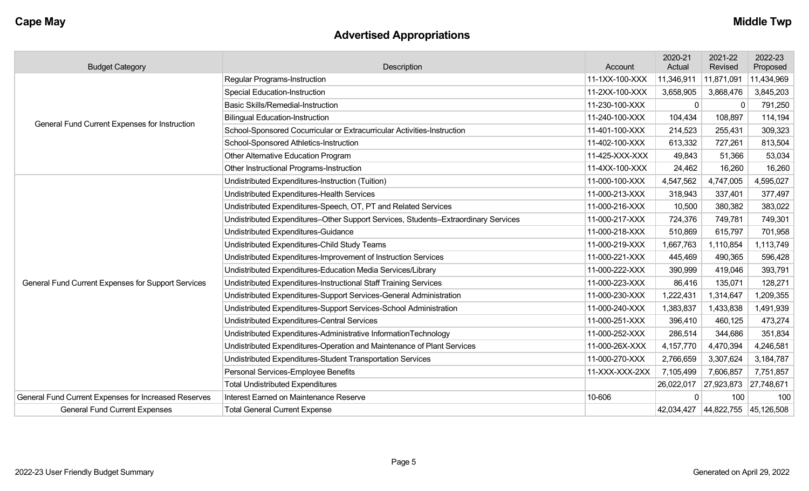## **Advertised Appropriations**

| <b>Budget Category</b>                               | Description                                                                        | Account        | 2020-21<br>Actual | 2021-22<br>Revised               | 2022-23<br>Proposed |
|------------------------------------------------------|------------------------------------------------------------------------------------|----------------|-------------------|----------------------------------|---------------------|
|                                                      | <b>Regular Programs-Instruction</b>                                                | 11-1XX-100-XXX | 11,346,911        | 11,871,091                       | 11,434,969          |
|                                                      | <b>Special Education-Instruction</b>                                               | 11-2XX-100-XXX | 3,658,905         | 3,868,476                        | 3,845,203           |
|                                                      | <b>Basic Skills/Remedial-Instruction</b>                                           | 11-230-100-XXX | $\mathbf{0}$      | $\Omega$                         | 791,250             |
|                                                      | <b>Bilingual Education-Instruction</b>                                             | 11-240-100-XXX | 104,434           | 108,897                          | 114,194             |
| General Fund Current Expenses for Instruction        | School-Sponsored Cocurricular or Extracurricular Activities-Instruction            | 11-401-100-XXX | 214,523           | 255,431                          | 309,323             |
|                                                      | School-Sponsored Athletics-Instruction                                             | 11-402-100-XXX | 613,332           | 727,261                          | 813,504             |
|                                                      | Other Alternative Education Program                                                | 11-425-XXX-XXX | 49,843            | 51,366                           | 53,034              |
|                                                      | Other Instructional Programs-Instruction                                           | 11-4XX-100-XXX | 24,462            | 16,260                           | 16,260              |
|                                                      | Undistributed Expenditures-Instruction (Tuition)                                   | 11-000-100-XXX | 4,547,562         | 4,747,005                        | 4,595,027           |
|                                                      | Undistributed Expenditures-Health Services                                         | 11-000-213-XXX | 318,943           | 337,401                          | 377,497             |
|                                                      | Undistributed Expenditures-Speech, OT, PT and Related Services                     | 11-000-216-XXX | 10,500            | 380,382                          | 383,022             |
|                                                      | Undistributed Expenditures-Other Support Services, Students-Extraordinary Services | 11-000-217-XXX | 724,376           | 749,781                          | 749,301             |
|                                                      | Undistributed Expenditures-Guidance                                                | 11-000-218-XXX | 510,869           | 615,797                          | 701,958             |
|                                                      | Undistributed Expenditures-Child Study Teams                                       | 11-000-219-XXX | 1,667,763         | 1,110,854                        | 1,113,749           |
|                                                      | Undistributed Expenditures-Improvement of Instruction Services                     | 11-000-221-XXX | 445,469           | 490,365                          | 596,428             |
|                                                      | Undistributed Expenditures-Education Media Services/Library                        | 11-000-222-XXX | 390,999           | 419,046                          | 393,791             |
| General Fund Current Expenses for Support Services   | Undistributed Expenditures-Instructional Staff Training Services                   | 11-000-223-XXX | 86,416            | 135,071                          | 128,271             |
|                                                      | Undistributed Expenditures-Support Services-General Administration                 | 11-000-230-XXX | 1,222,431         | 1,314,647                        | 1,209,355           |
|                                                      | Undistributed Expenditures-Support Services-School Administration                  | 11-000-240-XXX | 1,383,837         | 1,433,838                        | 1,491,939           |
|                                                      | Undistributed Expenditures-Central Services                                        | 11-000-251-XXX | 396,410           | 460,125                          | 473,274             |
|                                                      | Undistributed Expenditures-Administrative InformationTechnology                    | 11-000-252-XXX | 286,514           | 344,686                          | 351,834             |
|                                                      | Undistributed Expenditures-Operation and Maintenance of Plant Services             | 11-000-26X-XXX | 4,157,770         | 4,470,394                        | 4,246,581           |
|                                                      | Undistributed Expenditures-Student Transportation Services                         | 11-000-270-XXX | 2,766,659         | 3,307,624                        | 3,184,787           |
|                                                      | Personal Services-Employee Benefits                                                | 11-XXX-XXX-2XX | 7,105,499         | 7,606,857                        | 7,751,857           |
|                                                      | <b>Total Undistributed Expenditures</b>                                            |                | 26,022,017        | 27,923,873                       | 27,748,671          |
| General Fund Current Expenses for Increased Reserves | Interest Earned on Maintenance Reserve                                             | 10-606         | 0                 | 100                              | 100                 |
| <b>General Fund Current Expenses</b>                 | <b>Total General Current Expense</b>                                               |                |                   | 42,034,427 44,822,755 45,126,508 |                     |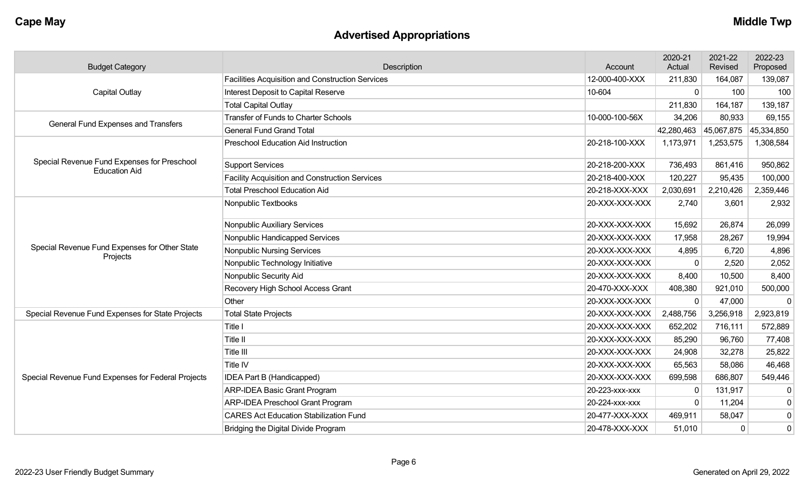# **Advertised Appropriations**

| <b>Budget Category</b>                                              | Description                                             | Account        | 2020-21<br>Actual | 2021-22<br>Revised | 2022-23<br>Proposed |
|---------------------------------------------------------------------|---------------------------------------------------------|----------------|-------------------|--------------------|---------------------|
|                                                                     | <b>Facilities Acquisition and Construction Services</b> | 12-000-400-XXX | 211,830           | 164,087            | 139,087             |
| <b>Capital Outlay</b>                                               | Interest Deposit to Capital Reserve                     | 10-604         | $\mathbf 0$       | 100                | 100                 |
|                                                                     | <b>Total Capital Outlay</b>                             |                | 211,830           | 164,187            | 139,187             |
| General Fund Expenses and Transfers                                 | <b>Transfer of Funds to Charter Schools</b>             | 10-000-100-56X | 34,206            | 80,933             | 69,155              |
|                                                                     | <b>General Fund Grand Total</b>                         |                | 42,280,463        | 45,067,875         | 45,334,850          |
|                                                                     | <b>Preschool Education Aid Instruction</b>              | 20-218-100-XXX | 1,173,971         | 1,253,575          | 1,308,584           |
| Special Revenue Fund Expenses for Preschool<br><b>Education Aid</b> | <b>Support Services</b>                                 | 20-218-200-XXX | 736,493           | 861,416            | 950,862             |
|                                                                     | <b>Facility Acquisition and Construction Services</b>   | 20-218-400-XXX | 120,227           | 95,435             | 100,000             |
|                                                                     | <b>Total Preschool Education Aid</b>                    | 20-218-XXX-XXX | 2,030,691         | 2,210,426          | 2,359,446           |
|                                                                     | Nonpublic Textbooks                                     | 20-XXX-XXX-XXX | 2,740             | 3,601              | 2,932               |
|                                                                     | <b>Nonpublic Auxiliary Services</b>                     | 20-XXX-XXX-XXX | 15,692            | 26,874             | 26,099              |
|                                                                     | Nonpublic Handicapped Services                          | 20-XXX-XXX-XXX | 17,958            | 28,267             | 19,994              |
| Special Revenue Fund Expenses for Other State                       | <b>Nonpublic Nursing Services</b>                       | 20-XXX-XXX-XXX | 4,895             | 6,720              | 4,896               |
| Projects                                                            | Nonpublic Technology Initiative                         | 20-XXX-XXX-XXX | 0                 | 2,520              | 2,052               |
|                                                                     | Nonpublic Security Aid                                  | 20-XXX-XXX-XXX | 8,400             | 10,500             | 8,400               |
|                                                                     | Recovery High School Access Grant                       | 20-470-XXX-XXX | 408,380           | 921,010            | 500,000             |
|                                                                     | Other                                                   | 20-XXX-XXX-XXX | 0                 | 47,000             | $\mathbf 0$         |
| Special Revenue Fund Expenses for State Projects                    | <b>Total State Projects</b>                             | 20-XXX-XXX-XXX | 2,488,756         | 3,256,918          | 2,923,819           |
|                                                                     | Title I                                                 | 20-XXX-XXX-XXX | 652,202           | 716,111            | 572,889             |
|                                                                     | Title II                                                | 20-XXX-XXX-XXX | 85,290            | 96,760             | 77,408              |
|                                                                     | Title III                                               | 20-XXX-XXX-XXX | 24,908            | 32,278             | 25,822              |
|                                                                     | Title IV                                                | 20-XXX-XXX-XXX | 65,563            | 58,086             | 46,468              |
| Special Revenue Fund Expenses for Federal Projects                  | IDEA Part B (Handicapped)                               | 20-XXX-XXX-XXX | 699,598           | 686,807            | 549,446             |
|                                                                     | <b>ARP-IDEA Basic Grant Program</b>                     | 20-223-xxx-xxx | 0                 | 131,917            | 0                   |
|                                                                     | <b>ARP-IDEA Preschool Grant Program</b>                 | 20-224-xxx-xxx | 0                 | 11,204             | $\pmb{0}$           |
|                                                                     | <b>CARES Act Education Stabilization Fund</b>           | 20-477-XXX-XXX | 469,911           | 58,047             | $\pmb{0}$           |
|                                                                     | Bridging the Digital Divide Program                     | 20-478-XXX-XXX | 51,010            | $\mathbf 0$        | $\mathbf 0$         |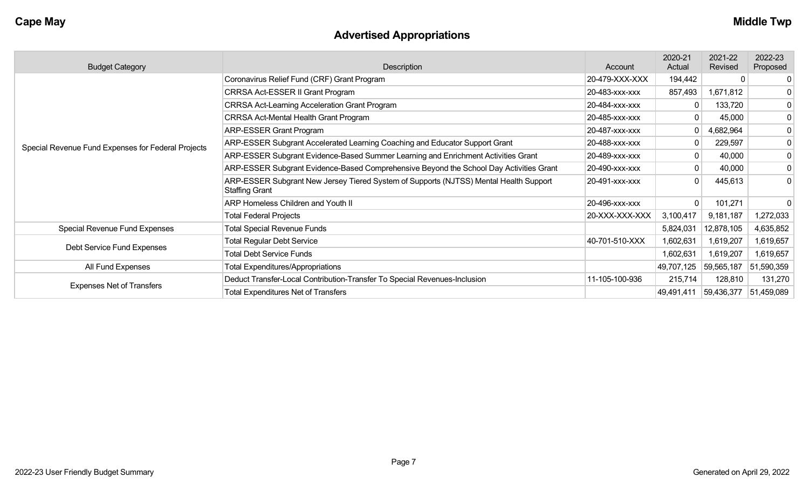# **Advertised Appropriations**

| <b>Budget Category</b>                             | Description                                                                                                    | Account        | 2020-21<br>Actual | 2021-22<br>Revised | 2022-23<br>Proposed |
|----------------------------------------------------|----------------------------------------------------------------------------------------------------------------|----------------|-------------------|--------------------|---------------------|
|                                                    | Coronavirus Relief Fund (CRF) Grant Program                                                                    | 20-479-XXX-XXX | 194,442           | $\Omega$           | 0                   |
|                                                    | CRRSA Act-ESSER II Grant Program                                                                               | 20-483-xxx-xxx | 857,493           | 1,671,812          | 0                   |
|                                                    | <b>CRRSA Act-Learning Acceleration Grant Program</b>                                                           | 20-484-XXX-XXX | 0                 | 133,720            | 0                   |
|                                                    | <b>CRRSA Act-Mental Health Grant Program</b>                                                                   | 20-485-xxx-xxx | 0                 | 45,000             | $\boldsymbol{0}$    |
|                                                    | <b>ARP-ESSER Grant Program</b>                                                                                 | 20-487-XXX-XXX | 0                 | 4,682,964          | 0                   |
| Special Revenue Fund Expenses for Federal Projects | ARP-ESSER Subgrant Accelerated Learning Coaching and Educator Support Grant                                    | 20-488-xxx-xxx | $\Omega$          | 229,597            | 0                   |
|                                                    | ARP-ESSER Subgrant Evidence-Based Summer Learning and Enrichment Activities Grant                              | 20-489-xxx-xxx | 0                 | 40,000             | 0                   |
|                                                    | ARP-ESSER Subgrant Evidence-Based Comprehensive Beyond the School Day Activities Grant                         | 20-490-xxx-xxx | 0                 | 40,000             | 0                   |
|                                                    | ARP-ESSER Subgrant New Jersey Tiered System of Supports (NJTSS) Mental Health Support<br><b>Staffing Grant</b> | 20-491-xxx-xxx | 0                 | 445,613            | $\mathbf 0$         |
|                                                    | <b>ARP Homeless Children and Youth II</b>                                                                      | 20-496-xxx-xxx | $\Omega$          | 101,271            | 0                   |
|                                                    | <b>Total Federal Projects</b>                                                                                  | 20-XXX-XXX-XXX | 3,100,417         | 9,181,187          | 1,272,033           |
| Special Revenue Fund Expenses                      | <b>Total Special Revenue Funds</b>                                                                             |                | 5,824,031         | 12,878,105         | 4,635,852           |
|                                                    | <b>Total Regular Debt Service</b>                                                                              | 40-701-510-XXX | 1,602,631         | 1,619,207          | 1,619,657           |
| Debt Service Fund Expenses                         | <b>Total Debt Service Funds</b>                                                                                |                | 1,602,631         | 1,619,207          | 1,619,657           |
| All Fund Expenses                                  | <b>Total Expenditures/Appropriations</b>                                                                       |                | 49,707,125        | 59,565,187         | 51,590,359          |
|                                                    | Deduct Transfer-Local Contribution-Transfer To Special Revenues-Inclusion                                      | 11-105-100-936 | 215,714           | 128,810            | 131,270             |
| <b>Expenses Net of Transfers</b>                   | <b>Total Expenditures Net of Transfers</b>                                                                     |                | 49,491,411        | 59,436,377         | 51,459,089          |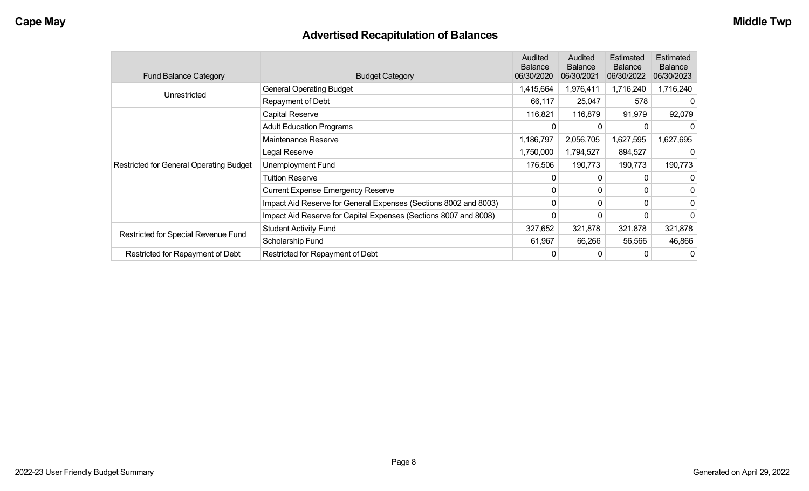## **Advertised Recapitulation of Balances**

| <b>Fund Balance Category</b>                   | <b>Budget Category</b>                                           | Audited<br><b>Balance</b><br>06/30/2020 | Audited<br><b>Balance</b><br>06/30/2021 | Estimated<br><b>Balance</b><br>06/30/2022 | Estimated<br><b>Balance</b><br>06/30/2023 |
|------------------------------------------------|------------------------------------------------------------------|-----------------------------------------|-----------------------------------------|-------------------------------------------|-------------------------------------------|
|                                                | <b>General Operating Budget</b>                                  | 1,415,664                               | 1,976,411                               | 1,716,240                                 | 1,716,240                                 |
| Unrestricted                                   | Repayment of Debt                                                | 66,117                                  | 25,047                                  | 578                                       | $\Omega$                                  |
|                                                | Capital Reserve                                                  | 116,821                                 | 116,879                                 | 91,979                                    | 92,079                                    |
|                                                | <b>Adult Education Programs</b>                                  |                                         |                                         |                                           | 0                                         |
|                                                | Maintenance Reserve                                              | 1,186,797                               | 2,056,705                               | 1,627,595                                 | 1,627,695                                 |
|                                                | Legal Reserve                                                    | 1,750,000                               | 1,794,527                               | 894,527                                   | O                                         |
| <b>Restricted for General Operating Budget</b> | Unemployment Fund                                                | 176,506                                 | 190,773                                 | 190,773                                   | 190,773                                   |
|                                                | Tuition Reserve                                                  | 0                                       |                                         |                                           | 0                                         |
|                                                | <b>Current Expense Emergency Reserve</b>                         | $\Omega$                                | $\Omega$                                | 0                                         | 0                                         |
|                                                | Impact Aid Reserve for General Expenses (Sections 8002 and 8003) | $\Omega$                                | 0                                       | 0                                         | 0                                         |
|                                                | Impact Aid Reserve for Capital Expenses (Sections 8007 and 8008) | 0                                       |                                         |                                           | 0                                         |
| Restricted for Special Revenue Fund            | <b>Student Activity Fund</b>                                     | 327,652                                 | 321,878                                 | 321,878                                   | 321,878                                   |
|                                                | Scholarship Fund                                                 | 61,967                                  | 66,266                                  | 56,566                                    | 46,866                                    |
| Restricted for Repayment of Debt               | Restricted for Repayment of Debt                                 | 0                                       |                                         |                                           | 0                                         |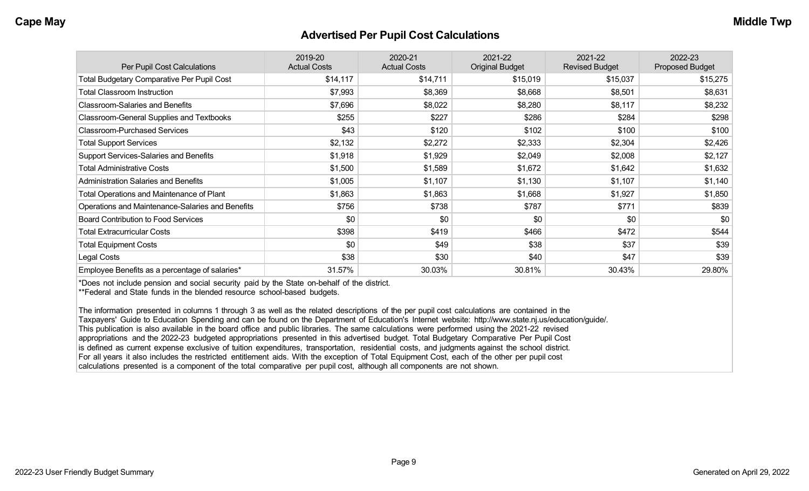#### **Advertised Per Pupil Cost Calculations**

| Per Pupil Cost Calculations                       | 2019-20<br><b>Actual Costs</b> | 2020-21<br><b>Actual Costs</b> | 2021-22<br><b>Original Budget</b> | 2021-22<br><b>Revised Budget</b> | 2022-23<br><b>Proposed Budget</b> |
|---------------------------------------------------|--------------------------------|--------------------------------|-----------------------------------|----------------------------------|-----------------------------------|
| <b>Total Budgetary Comparative Per Pupil Cost</b> | \$14,117                       | \$14,711                       | \$15,019                          | \$15,037                         | \$15,275                          |
| <b>Total Classroom Instruction</b>                | \$7,993                        | \$8,369                        | \$8,668                           | \$8,501                          | \$8,631                           |
| <b>Classroom-Salaries and Benefits</b>            | \$7,696                        | \$8,022                        | \$8,280                           | \$8,117                          | \$8,232                           |
| Classroom-General Supplies and Textbooks          | \$255                          | \$227                          | \$286                             | \$284                            | \$298                             |
| <b>Classroom-Purchased Services</b>               | \$43                           | \$120                          | \$102                             | \$100                            | \$100                             |
| <b>Total Support Services</b>                     | \$2,132                        | \$2,272                        | \$2,333                           | \$2,304                          | \$2,426                           |
| Support Services-Salaries and Benefits            | \$1,918                        | \$1,929                        | \$2,049                           | \$2,008                          | \$2,127                           |
| <b>Total Administrative Costs</b>                 | \$1,500                        | \$1,589                        | \$1,672                           | \$1,642                          | \$1,632                           |
| <b>Administration Salaries and Benefits</b>       | \$1,005                        | \$1,107                        | \$1,130                           | \$1,107                          | \$1,140                           |
| Total Operations and Maintenance of Plant         | \$1,863                        | \$1,863                        | \$1,668                           | \$1,927                          | \$1,850                           |
| Operations and Maintenance-Salaries and Benefits  | \$756                          | \$738                          | \$787                             | \$771                            | \$839                             |
| <b>Board Contribution to Food Services</b>        | \$0                            | \$0                            | \$0                               | \$0                              | \$0                               |
| <b>Total Extracurricular Costs</b>                | \$398                          | \$419                          | \$466                             | \$472                            | \$544                             |
| <b>Total Equipment Costs</b>                      | \$0                            | \$49                           | \$38                              | \$37                             | \$39                              |
| Legal Costs                                       | \$38                           | \$30                           | \$40                              | \$47                             | \$39                              |
| Employee Benefits as a percentage of salaries*    | 31.57%                         | 30.03%                         | 30.81%                            | 30.43%                           | 29.80%                            |

\*Does not include pension and social security paid by the State on-behalf of the district.

\*\*Federal and State funds in the blended resource school-based budgets.

The information presented in columns 1 through 3 as well as the related descriptions of the per pupil cost calculations are contained in the Taxpayers' Guide to Education Spending and can be found on the Department of Education's Internet website: http://www.state.nj.us/education/guide/. This publication is also available in the board office and public libraries. The same calculations were performed using the 2021-22 revised appropriations and the 2022-23 budgeted appropriations presented in this advertised budget. Total Budgetary Comparative Per Pupil Cost is defined as current expense exclusive of tuition expenditures, transportation, residential costs, and judgments against the school district. For all years it also includes the restricted entitlement aids. With the exception of Total Equipment Cost, each of the other per pupil cost calculations presented is a component of the total comparative per pupil cost, although all components are not shown.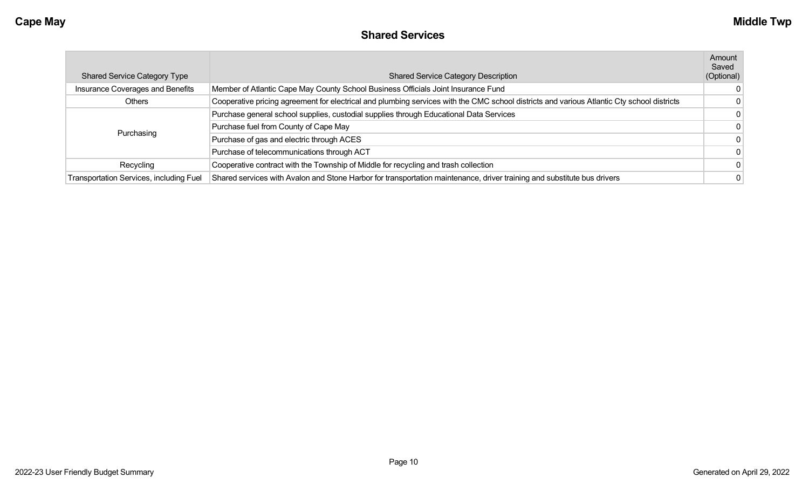#### **Shared Services**

| <b>Shared Service Category Type</b>            | <b>Shared Service Category Description</b>                                                                                                 | Amount<br>Saved<br>(Optional) |
|------------------------------------------------|--------------------------------------------------------------------------------------------------------------------------------------------|-------------------------------|
| Insurance Coverages and Benefits               | Member of Atlantic Cape May County School Business Officials Joint Insurance Fund                                                          | $\Omega$                      |
| <b>Others</b>                                  | Cooperative pricing agreement for electrical and plumbing services with the CMC school districts and various Atlantic Cty school districts | $\Omega$                      |
|                                                | Purchase general school supplies, custodial supplies through Educational Data Services                                                     | $\mathbf{0}$                  |
|                                                | Purchase fuel from County of Cape May                                                                                                      | $\Omega$                      |
| Purchasing                                     | Purchase of gas and electric through ACES                                                                                                  | $\Omega$                      |
|                                                | Purchase of telecommunications through ACT                                                                                                 | $\Omega$                      |
| Recycling                                      | Cooperative contract with the Township of Middle for recycling and trash collection                                                        | $\Omega$                      |
| <b>Transportation Services, including Fuel</b> | Shared services with Avalon and Stone Harbor for transportation maintenance, driver training and substitute bus drivers                    |                               |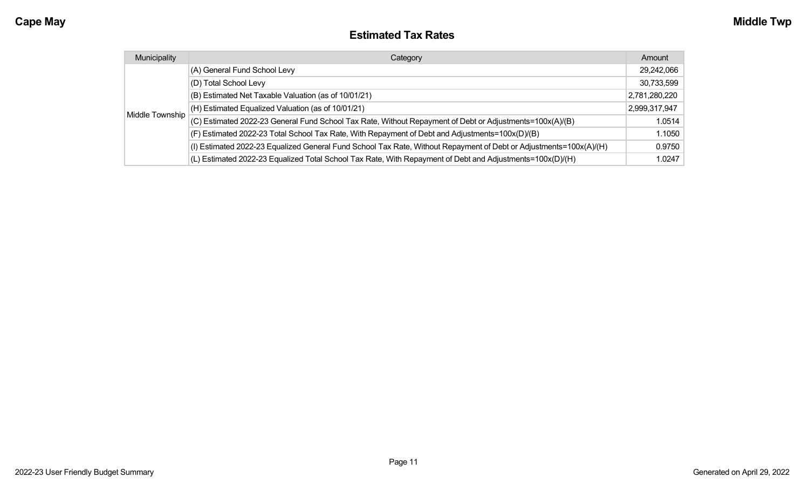#### **Estimated Tax Rates**

| Municipality    | Category                                                                                                           | Amount        |
|-----------------|--------------------------------------------------------------------------------------------------------------------|---------------|
|                 | (A) General Fund School Levy                                                                                       | 29,242,066    |
|                 | (D) Total School Levy                                                                                              | 30,733,599    |
|                 | (B) Estimated Net Taxable Valuation (as of 10/01/21)                                                               | 2,781,280,220 |
|                 | (H) Estimated Equalized Valuation (as of 10/01/21)                                                                 | 2,999,317,947 |
| Middle Township | (C) Estimated 2022-23 General Fund School Tax Rate, Without Repayment of Debt or Adjustments=100x(A)/(B)           | 1.0514        |
|                 | (F) Estimated 2022-23 Total School Tax Rate, With Repayment of Debt and Adjustments=100x(D)/(B)                    | 1.1050        |
|                 | (I) Estimated 2022-23 Equalized General Fund School Tax Rate, Without Repayment of Debt or Adjustments=100x(A)/(H) | 0.9750        |
|                 | (L) Estimated 2022-23 Equalized Total School Tax Rate, With Repayment of Debt and Adjustments=100x(D)/(H)          | 1.0247        |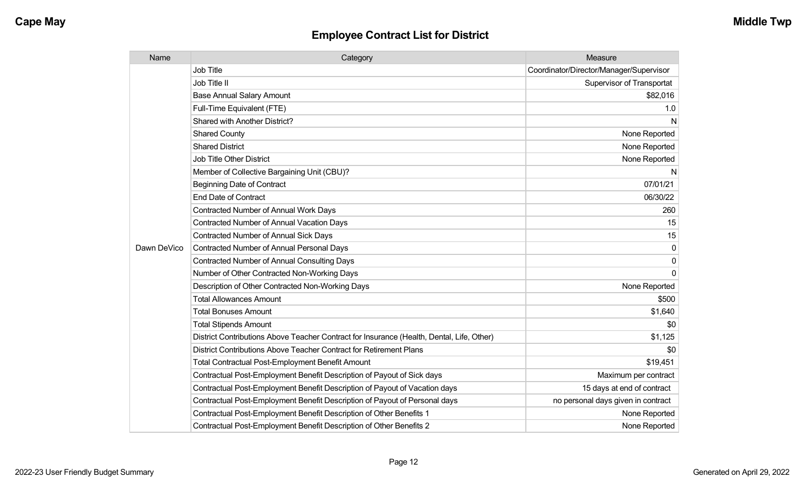| Name        | Category                                                                                  | Measure                                 |
|-------------|-------------------------------------------------------------------------------------------|-----------------------------------------|
|             | Job Title                                                                                 | Coordinator/Director/Manager/Supervisor |
|             | Job Title II                                                                              | <b>Supervisor of Transportat</b>        |
|             | <b>Base Annual Salary Amount</b>                                                          | \$82,016                                |
|             | Full-Time Equivalent (FTE)                                                                | 1.0                                     |
|             | Shared with Another District?                                                             | N                                       |
|             | <b>Shared County</b>                                                                      | None Reported                           |
|             | <b>Shared District</b>                                                                    | None Reported                           |
|             | <b>Job Title Other District</b>                                                           | None Reported                           |
|             | Member of Collective Bargaining Unit (CBU)?                                               | N                                       |
|             | <b>Beginning Date of Contract</b>                                                         | 07/01/21                                |
|             | <b>End Date of Contract</b>                                                               | 06/30/22                                |
|             | <b>Contracted Number of Annual Work Days</b>                                              | 260                                     |
|             | <b>Contracted Number of Annual Vacation Days</b>                                          | 15                                      |
|             | <b>Contracted Number of Annual Sick Days</b>                                              | 15                                      |
| Dawn DeVico | Contracted Number of Annual Personal Days                                                 | 0                                       |
|             | <b>Contracted Number of Annual Consulting Days</b>                                        | 0                                       |
|             | Number of Other Contracted Non-Working Days                                               | $\Omega$                                |
|             | Description of Other Contracted Non-Working Days                                          | None Reported                           |
|             | <b>Total Allowances Amount</b>                                                            | \$500                                   |
|             | <b>Total Bonuses Amount</b>                                                               | \$1,640                                 |
|             | <b>Total Stipends Amount</b>                                                              | \$0                                     |
|             | District Contributions Above Teacher Contract for Insurance (Health, Dental, Life, Other) | \$1,125                                 |
|             | District Contributions Above Teacher Contract for Retirement Plans                        | \$0                                     |
|             | <b>Total Contractual Post-Employment Benefit Amount</b>                                   | \$19,451                                |
|             | Contractual Post-Employment Benefit Description of Payout of Sick days                    | Maximum per contract                    |
|             | Contractual Post-Employment Benefit Description of Payout of Vacation days                | 15 days at end of contract              |
|             | Contractual Post-Employment Benefit Description of Payout of Personal days                | no personal days given in contract      |
|             | Contractual Post-Employment Benefit Description of Other Benefits 1                       | None Reported                           |
|             | Contractual Post-Employment Benefit Description of Other Benefits 2                       | None Reported                           |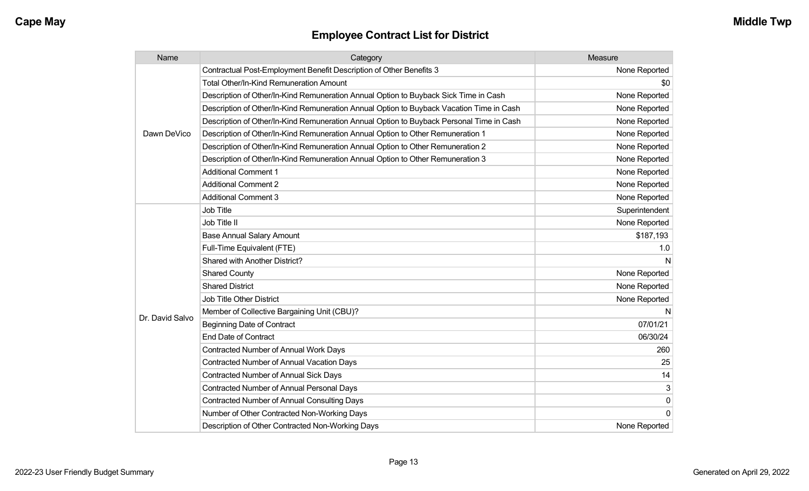| Name            | Category                                                                                 | Measure        |
|-----------------|------------------------------------------------------------------------------------------|----------------|
|                 | Contractual Post-Employment Benefit Description of Other Benefits 3                      | None Reported  |
|                 | Total Other/In-Kind Remuneration Amount                                                  | \$0            |
|                 | Description of Other/In-Kind Remuneration Annual Option to Buyback Sick Time in Cash     | None Reported  |
|                 | Description of Other/In-Kind Remuneration Annual Option to Buyback Vacation Time in Cash | None Reported  |
|                 | Description of Other/In-Kind Remuneration Annual Option to Buyback Personal Time in Cash | None Reported  |
| Dawn DeVico     | Description of Other/In-Kind Remuneration Annual Option to Other Remuneration 1          | None Reported  |
|                 | Description of Other/In-Kind Remuneration Annual Option to Other Remuneration 2          | None Reported  |
|                 | Description of Other/In-Kind Remuneration Annual Option to Other Remuneration 3          | None Reported  |
|                 | <b>Additional Comment 1</b>                                                              | None Reported  |
|                 | <b>Additional Comment 2</b>                                                              | None Reported  |
|                 | <b>Additional Comment 3</b>                                                              | None Reported  |
|                 | Job Title                                                                                | Superintendent |
|                 | Job Title II                                                                             | None Reported  |
|                 | <b>Base Annual Salary Amount</b>                                                         | \$187,193      |
|                 | Full-Time Equivalent (FTE)                                                               | 1.0            |
|                 | Shared with Another District?                                                            | N              |
|                 | <b>Shared County</b>                                                                     | None Reported  |
|                 | <b>Shared District</b>                                                                   | None Reported  |
|                 | Job Title Other District                                                                 | None Reported  |
|                 | Member of Collective Bargaining Unit (CBU)?                                              | N              |
| Dr. David Salvo | <b>Beginning Date of Contract</b>                                                        | 07/01/21       |
|                 | <b>End Date of Contract</b>                                                              | 06/30/24       |
|                 | <b>Contracted Number of Annual Work Days</b>                                             | 260            |
|                 | <b>Contracted Number of Annual Vacation Days</b>                                         | 25             |
|                 | <b>Contracted Number of Annual Sick Days</b>                                             | 14             |
|                 | Contracted Number of Annual Personal Days                                                | 3              |
|                 | <b>Contracted Number of Annual Consulting Days</b>                                       | $\mathbf 0$    |
|                 | Number of Other Contracted Non-Working Days                                              | $\Omega$       |
|                 | Description of Other Contracted Non-Working Days                                         | None Reported  |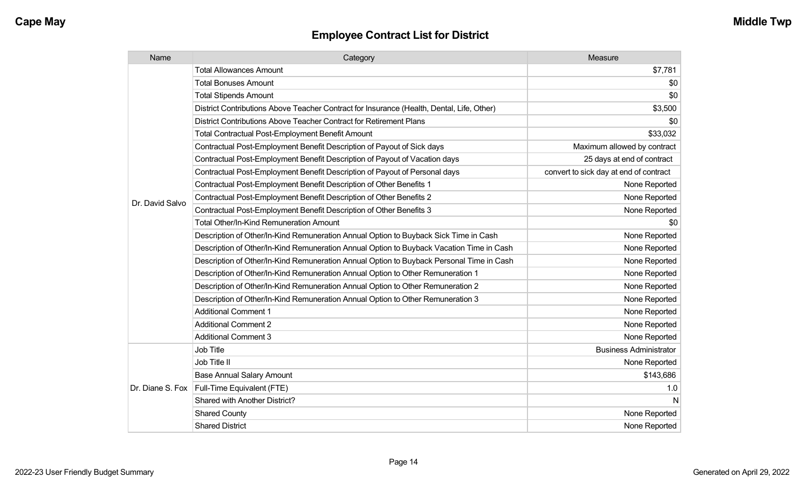| Name            | Category                                                                                  | Measure                                |
|-----------------|-------------------------------------------------------------------------------------------|----------------------------------------|
|                 | <b>Total Allowances Amount</b>                                                            | \$7,781                                |
|                 | <b>Total Bonuses Amount</b>                                                               | \$0                                    |
|                 | <b>Total Stipends Amount</b>                                                              | \$0                                    |
|                 | District Contributions Above Teacher Contract for Insurance (Health, Dental, Life, Other) | \$3,500                                |
|                 | District Contributions Above Teacher Contract for Retirement Plans                        | \$0                                    |
|                 | Total Contractual Post-Employment Benefit Amount                                          | \$33,032                               |
|                 | Contractual Post-Employment Benefit Description of Payout of Sick days                    | Maximum allowed by contract            |
|                 | Contractual Post-Employment Benefit Description of Payout of Vacation days                | 25 days at end of contract             |
|                 | Contractual Post-Employment Benefit Description of Payout of Personal days                | convert to sick day at end of contract |
|                 | Contractual Post-Employment Benefit Description of Other Benefits 1                       | None Reported                          |
| Dr. David Salvo | Contractual Post-Employment Benefit Description of Other Benefits 2                       | None Reported                          |
|                 | Contractual Post-Employment Benefit Description of Other Benefits 3                       | None Reported                          |
|                 | <b>Total Other/In-Kind Remuneration Amount</b>                                            | \$0                                    |
|                 | Description of Other/In-Kind Remuneration Annual Option to Buyback Sick Time in Cash      | None Reported                          |
|                 | Description of Other/In-Kind Remuneration Annual Option to Buyback Vacation Time in Cash  | None Reported                          |
|                 | Description of Other/In-Kind Remuneration Annual Option to Buyback Personal Time in Cash  | None Reported                          |
|                 | Description of Other/In-Kind Remuneration Annual Option to Other Remuneration 1           | None Reported                          |
|                 | Description of Other/In-Kind Remuneration Annual Option to Other Remuneration 2           | None Reported                          |
|                 | Description of Other/In-Kind Remuneration Annual Option to Other Remuneration 3           | None Reported                          |
|                 | <b>Additional Comment 1</b>                                                               | None Reported                          |
|                 | <b>Additional Comment 2</b>                                                               | None Reported                          |
|                 | <b>Additional Comment 3</b>                                                               | None Reported                          |
|                 | Job Title                                                                                 | <b>Business Administrator</b>          |
|                 | Job Title II                                                                              | None Reported                          |
|                 | <b>Base Annual Salary Amount</b>                                                          | \$143,686                              |
|                 | Dr. Diane S. Fox   Full-Time Equivalent (FTE)                                             | 1.0                                    |
|                 | Shared with Another District?                                                             | N                                      |
|                 | <b>Shared County</b>                                                                      | None Reported                          |
|                 | <b>Shared District</b>                                                                    | None Reported                          |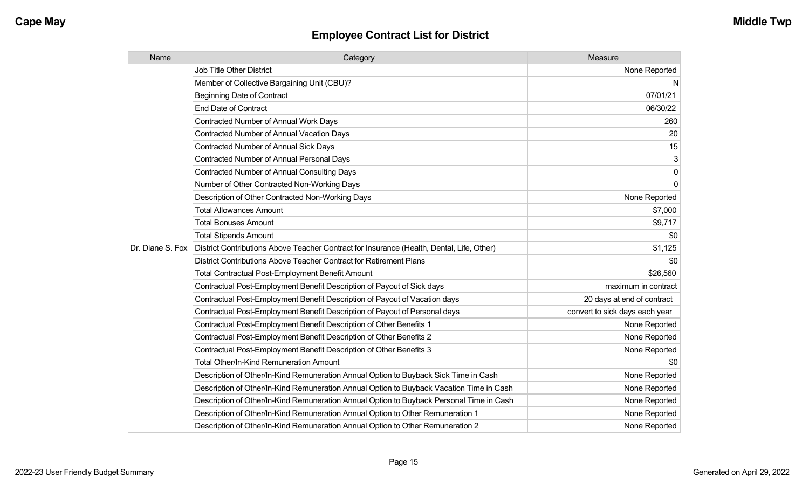| Name             | Category                                                                                  | Measure                        |
|------------------|-------------------------------------------------------------------------------------------|--------------------------------|
|                  | Job Title Other District                                                                  | None Reported                  |
|                  | Member of Collective Bargaining Unit (CBU)?                                               | N                              |
|                  | <b>Beginning Date of Contract</b>                                                         | 07/01/21                       |
|                  | <b>End Date of Contract</b>                                                               | 06/30/22                       |
|                  | <b>Contracted Number of Annual Work Days</b>                                              | 260                            |
|                  | <b>Contracted Number of Annual Vacation Days</b>                                          | 20                             |
|                  | <b>Contracted Number of Annual Sick Days</b>                                              | 15                             |
|                  | Contracted Number of Annual Personal Days                                                 | 3                              |
|                  | <b>Contracted Number of Annual Consulting Days</b>                                        | $\pmb{0}$                      |
|                  | Number of Other Contracted Non-Working Days                                               | $\mathbf 0$                    |
|                  | Description of Other Contracted Non-Working Days                                          | None Reported                  |
|                  | <b>Total Allowances Amount</b>                                                            | \$7,000                        |
|                  | <b>Total Bonuses Amount</b>                                                               | \$9,717                        |
|                  | <b>Total Stipends Amount</b>                                                              | \$0                            |
| Dr. Diane S. Fox | District Contributions Above Teacher Contract for Insurance (Health, Dental, Life, Other) | \$1,125                        |
|                  | District Contributions Above Teacher Contract for Retirement Plans                        | \$0                            |
|                  | <b>Total Contractual Post-Employment Benefit Amount</b>                                   | \$26,560                       |
|                  | Contractual Post-Employment Benefit Description of Payout of Sick days                    | maximum in contract            |
|                  | Contractual Post-Employment Benefit Description of Payout of Vacation days                | 20 days at end of contract     |
|                  | Contractual Post-Employment Benefit Description of Payout of Personal days                | convert to sick days each year |
|                  | Contractual Post-Employment Benefit Description of Other Benefits 1                       | None Reported                  |
|                  | Contractual Post-Employment Benefit Description of Other Benefits 2                       | None Reported                  |
|                  | Contractual Post-Employment Benefit Description of Other Benefits 3                       | None Reported                  |
|                  | <b>Total Other/In-Kind Remuneration Amount</b>                                            | \$0                            |
|                  | Description of Other/In-Kind Remuneration Annual Option to Buyback Sick Time in Cash      | None Reported                  |
|                  | Description of Other/In-Kind Remuneration Annual Option to Buyback Vacation Time in Cash  | None Reported                  |
|                  | Description of Other/In-Kind Remuneration Annual Option to Buyback Personal Time in Cash  | None Reported                  |
|                  | Description of Other/In-Kind Remuneration Annual Option to Other Remuneration 1           | None Reported                  |
|                  | Description of Other/In-Kind Remuneration Annual Option to Other Remuneration 2           | None Reported                  |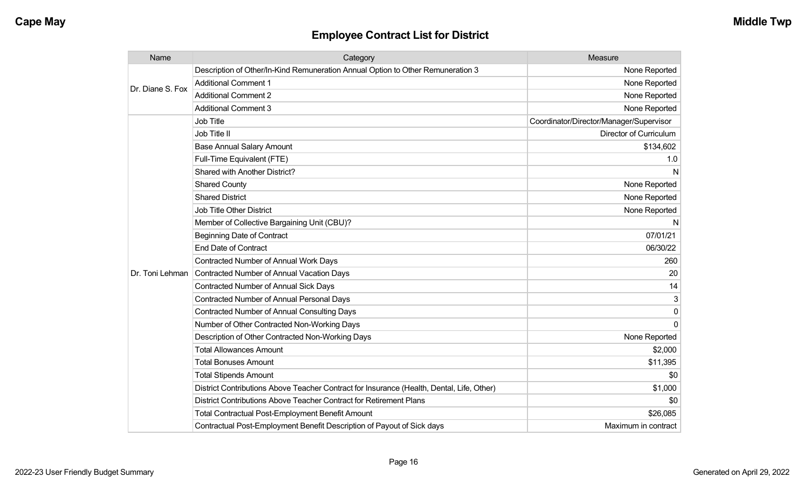| Name             | Category                                                                                  | Measure                                 |
|------------------|-------------------------------------------------------------------------------------------|-----------------------------------------|
| Dr. Diane S. Fox | Description of Other/In-Kind Remuneration Annual Option to Other Remuneration 3           | None Reported                           |
|                  | <b>Additional Comment 1</b>                                                               | None Reported                           |
|                  | <b>Additional Comment 2</b>                                                               | None Reported                           |
|                  | <b>Additional Comment 3</b>                                                               | None Reported                           |
|                  | Job Title                                                                                 | Coordinator/Director/Manager/Supervisor |
|                  | Job Title II                                                                              | Director of Curriculum                  |
|                  | <b>Base Annual Salary Amount</b>                                                          | \$134,602                               |
|                  | Full-Time Equivalent (FTE)                                                                | 1.0                                     |
|                  | <b>Shared with Another District?</b>                                                      | N                                       |
|                  | <b>Shared County</b>                                                                      | None Reported                           |
|                  | <b>Shared District</b>                                                                    | None Reported                           |
|                  | <b>Job Title Other District</b>                                                           | None Reported                           |
|                  | Member of Collective Bargaining Unit (CBU)?                                               | N                                       |
|                  | <b>Beginning Date of Contract</b>                                                         | 07/01/21                                |
|                  | <b>End Date of Contract</b>                                                               | 06/30/22                                |
|                  | <b>Contracted Number of Annual Work Days</b>                                              | 260                                     |
| Dr. Toni Lehman  | <b>Contracted Number of Annual Vacation Days</b>                                          | 20                                      |
|                  | Contracted Number of Annual Sick Days                                                     | 14                                      |
|                  | <b>Contracted Number of Annual Personal Days</b>                                          | 3                                       |
|                  | <b>Contracted Number of Annual Consulting Days</b>                                        | 0                                       |
|                  | Number of Other Contracted Non-Working Days                                               | $\Omega$                                |
|                  | Description of Other Contracted Non-Working Days                                          | None Reported                           |
|                  | <b>Total Allowances Amount</b>                                                            | \$2,000                                 |
|                  | <b>Total Bonuses Amount</b>                                                               | \$11,395                                |
|                  | <b>Total Stipends Amount</b>                                                              | \$0                                     |
|                  | District Contributions Above Teacher Contract for Insurance (Health, Dental, Life, Other) | \$1,000                                 |
|                  | District Contributions Above Teacher Contract for Retirement Plans                        | \$0                                     |
|                  | <b>Total Contractual Post-Employment Benefit Amount</b>                                   | \$26,085                                |
|                  | Contractual Post-Employment Benefit Description of Payout of Sick days                    | Maximum in contract                     |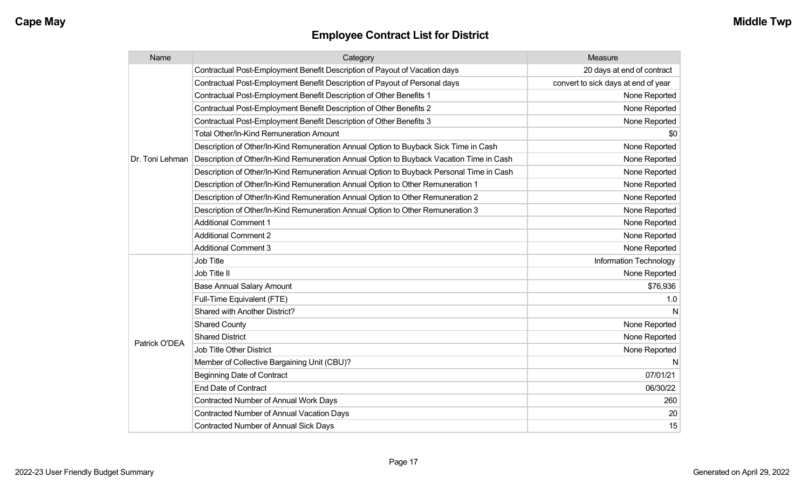| Name            | Category                                                                                 | Measure                             |
|-----------------|------------------------------------------------------------------------------------------|-------------------------------------|
|                 | Contractual Post-Employment Benefit Description of Payout of Vacation days               | 20 days at end of contract          |
|                 | Contractual Post-Employment Benefit Description of Payout of Personal days               | convert to sick days at end of year |
|                 | Contractual Post-Employment Benefit Description of Other Benefits 1                      | None Reported                       |
|                 | Contractual Post-Employment Benefit Description of Other Benefits 2                      | None Reported                       |
|                 | Contractual Post-Employment Benefit Description of Other Benefits 3                      | None Reported                       |
|                 | <b>Total Other/In-Kind Remuneration Amount</b>                                           | \$0                                 |
|                 | Description of Other/In-Kind Remuneration Annual Option to Buyback Sick Time in Cash     | None Reported                       |
| Dr. Toni Lehman | Description of Other/In-Kind Remuneration Annual Option to Buyback Vacation Time in Cash | None Reported                       |
|                 | Description of Other/In-Kind Remuneration Annual Option to Buyback Personal Time in Cash | None Reported                       |
|                 | Description of Other/In-Kind Remuneration Annual Option to Other Remuneration 1          | None Reported                       |
|                 | Description of Other/In-Kind Remuneration Annual Option to Other Remuneration 2          | None Reported                       |
|                 | Description of Other/In-Kind Remuneration Annual Option to Other Remuneration 3          | None Reported                       |
|                 | <b>Additional Comment 1</b>                                                              | None Reported                       |
|                 | <b>Additional Comment 2</b>                                                              | None Reported                       |
|                 | <b>Additional Comment 3</b>                                                              | None Reported                       |
|                 | Job Title                                                                                | Information Technology              |
|                 | Job Title II                                                                             | None Reported                       |
|                 | <b>Base Annual Salary Amount</b>                                                         | \$76,936                            |
|                 | Full-Time Equivalent (FTE)                                                               | 1.0                                 |
|                 | Shared with Another District?                                                            | N                                   |
|                 | <b>Shared County</b>                                                                     | None Reported                       |
| Patrick O'DEA   | <b>Shared District</b>                                                                   | None Reported                       |
|                 | Job Title Other District                                                                 | None Reported                       |
|                 | Member of Collective Bargaining Unit (CBU)?                                              | N                                   |
|                 | <b>Beginning Date of Contract</b>                                                        | 07/01/21                            |
|                 | <b>End Date of Contract</b>                                                              | 06/30/22                            |
|                 | Contracted Number of Annual Work Days                                                    | 260                                 |
|                 | <b>Contracted Number of Annual Vacation Days</b>                                         | 20                                  |
|                 | <b>Contracted Number of Annual Sick Days</b>                                             | 15                                  |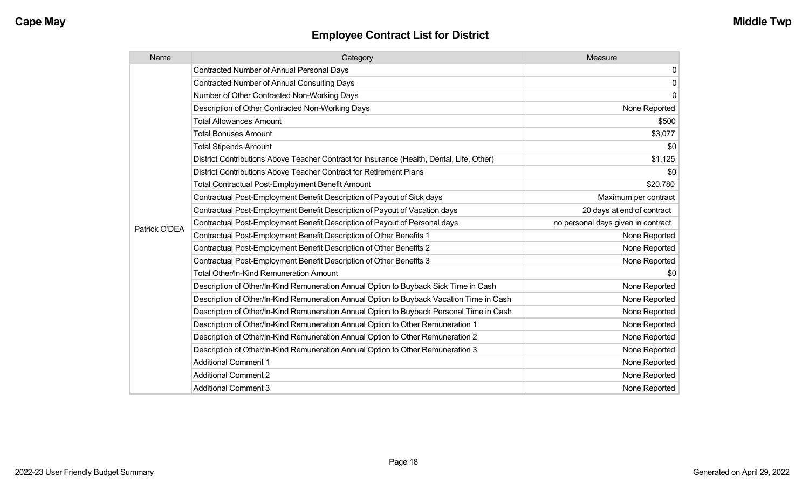| Name          | Category                                                                                  | Measure                            |
|---------------|-------------------------------------------------------------------------------------------|------------------------------------|
|               | <b>Contracted Number of Annual Personal Days</b>                                          | $\overline{0}$                     |
|               | <b>Contracted Number of Annual Consulting Days</b>                                        | $\overline{0}$                     |
|               | Number of Other Contracted Non-Working Days                                               | $\overline{0}$                     |
|               | Description of Other Contracted Non-Working Days                                          | None Reported                      |
|               | <b>Total Allowances Amount</b>                                                            | \$500                              |
|               | <b>Total Bonuses Amount</b>                                                               | \$3,077                            |
|               | <b>Total Stipends Amount</b>                                                              | \$0                                |
|               | District Contributions Above Teacher Contract for Insurance (Health, Dental, Life, Other) | \$1,125                            |
|               | District Contributions Above Teacher Contract for Retirement Plans                        | \$0                                |
|               | <b>Total Contractual Post-Employment Benefit Amount</b>                                   | \$20,780                           |
|               | Contractual Post-Employment Benefit Description of Payout of Sick days                    | Maximum per contract               |
|               | Contractual Post-Employment Benefit Description of Payout of Vacation days                | 20 days at end of contract         |
| Patrick O'DEA | Contractual Post-Employment Benefit Description of Payout of Personal days                | no personal days given in contract |
|               | Contractual Post-Employment Benefit Description of Other Benefits 1                       | None Reported                      |
|               | Contractual Post-Employment Benefit Description of Other Benefits 2                       | None Reported                      |
|               | Contractual Post-Employment Benefit Description of Other Benefits 3                       | None Reported                      |
|               | Total Other/In-Kind Remuneration Amount                                                   | \$0                                |
|               | Description of Other/In-Kind Remuneration Annual Option to Buyback Sick Time in Cash      | None Reported                      |
|               | Description of Other/In-Kind Remuneration Annual Option to Buyback Vacation Time in Cash  | None Reported                      |
|               | Description of Other/In-Kind Remuneration Annual Option to Buyback Personal Time in Cash  | None Reported                      |
|               | Description of Other/In-Kind Remuneration Annual Option to Other Remuneration 1           | None Reported                      |
|               | Description of Other/In-Kind Remuneration Annual Option to Other Remuneration 2           | None Reported                      |
|               | Description of Other/In-Kind Remuneration Annual Option to Other Remuneration 3           | None Reported                      |
|               | <b>Additional Comment 1</b>                                                               | None Reported                      |
|               | <b>Additional Comment 2</b>                                                               | None Reported                      |
|               | <b>Additional Comment 3</b>                                                               | None Reported                      |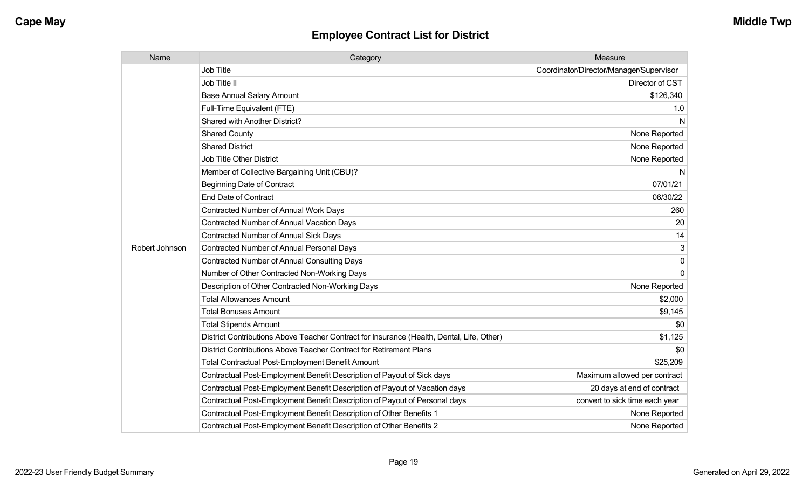| Name           | Category                                                                                  | Measure                                 |
|----------------|-------------------------------------------------------------------------------------------|-----------------------------------------|
|                | <b>Job Title</b>                                                                          | Coordinator/Director/Manager/Supervisor |
|                | Job Title II                                                                              | Director of CST                         |
|                | <b>Base Annual Salary Amount</b>                                                          | \$126,340                               |
|                | Full-Time Equivalent (FTE)                                                                | 1.0                                     |
|                | Shared with Another District?                                                             | N                                       |
|                | <b>Shared County</b>                                                                      | None Reported                           |
|                | <b>Shared District</b>                                                                    | None Reported                           |
|                | <b>Job Title Other District</b>                                                           | None Reported                           |
|                | Member of Collective Bargaining Unit (CBU)?                                               | N                                       |
|                | <b>Beginning Date of Contract</b>                                                         | 07/01/21                                |
|                | <b>End Date of Contract</b>                                                               | 06/30/22                                |
|                | <b>Contracted Number of Annual Work Days</b>                                              | 260                                     |
|                | Contracted Number of Annual Vacation Days                                                 | 20                                      |
|                | <b>Contracted Number of Annual Sick Days</b>                                              | 14                                      |
| Robert Johnson | <b>Contracted Number of Annual Personal Days</b>                                          | 3                                       |
|                | <b>Contracted Number of Annual Consulting Days</b>                                        | 0                                       |
|                | Number of Other Contracted Non-Working Days                                               | $\Omega$                                |
|                | Description of Other Contracted Non-Working Days                                          | None Reported                           |
|                | <b>Total Allowances Amount</b>                                                            | \$2,000                                 |
|                | <b>Total Bonuses Amount</b>                                                               | \$9,145                                 |
|                | <b>Total Stipends Amount</b>                                                              | \$0                                     |
|                | District Contributions Above Teacher Contract for Insurance (Health, Dental, Life, Other) | \$1,125                                 |
|                | District Contributions Above Teacher Contract for Retirement Plans                        | \$0                                     |
|                | <b>Total Contractual Post-Employment Benefit Amount</b>                                   | \$25,209                                |
|                | Contractual Post-Employment Benefit Description of Payout of Sick days                    | Maximum allowed per contract            |
|                | Contractual Post-Employment Benefit Description of Payout of Vacation days                | 20 days at end of contract              |
|                | Contractual Post-Employment Benefit Description of Payout of Personal days                | convert to sick time each year          |
|                | Contractual Post-Employment Benefit Description of Other Benefits 1                       | None Reported                           |
|                | Contractual Post-Employment Benefit Description of Other Benefits 2                       | None Reported                           |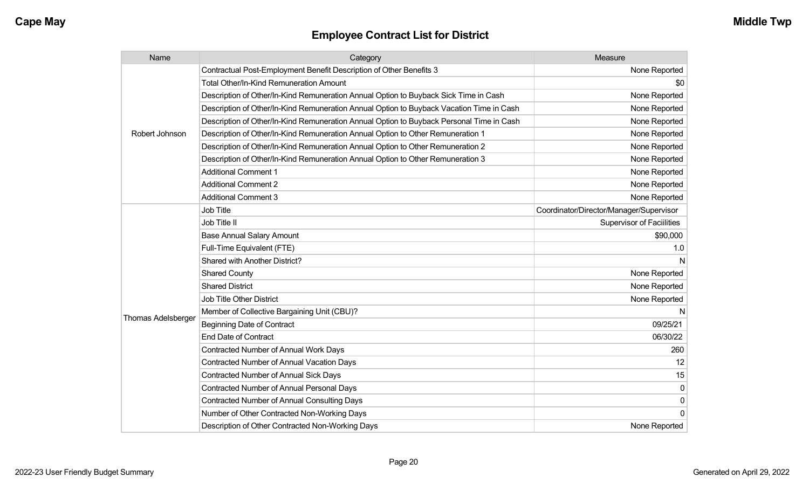| Name                      | Category                                                                                 | Measure                                 |
|---------------------------|------------------------------------------------------------------------------------------|-----------------------------------------|
|                           | Contractual Post-Employment Benefit Description of Other Benefits 3                      | None Reported                           |
|                           | Total Other/In-Kind Remuneration Amount                                                  | \$0                                     |
|                           | Description of Other/In-Kind Remuneration Annual Option to Buyback Sick Time in Cash     | None Reported                           |
|                           | Description of Other/In-Kind Remuneration Annual Option to Buyback Vacation Time in Cash | None Reported                           |
|                           | Description of Other/In-Kind Remuneration Annual Option to Buyback Personal Time in Cash | None Reported                           |
| Robert Johnson            | Description of Other/In-Kind Remuneration Annual Option to Other Remuneration 1          | None Reported                           |
|                           | Description of Other/In-Kind Remuneration Annual Option to Other Remuneration 2          | None Reported                           |
|                           | Description of Other/In-Kind Remuneration Annual Option to Other Remuneration 3          | None Reported                           |
|                           | <b>Additional Comment 1</b>                                                              | None Reported                           |
|                           | <b>Additional Comment 2</b>                                                              | None Reported                           |
|                           | <b>Additional Comment 3</b>                                                              | None Reported                           |
|                           | Job Title                                                                                | Coordinator/Director/Manager/Supervisor |
|                           | Job Title II                                                                             | <b>Supervisor of Facillities</b>        |
|                           | <b>Base Annual Salary Amount</b>                                                         | \$90,000                                |
|                           | Full-Time Equivalent (FTE)                                                               | 1.0                                     |
|                           | Shared with Another District?                                                            | N                                       |
|                           | <b>Shared County</b>                                                                     | None Reported                           |
|                           | <b>Shared District</b>                                                                   | None Reported                           |
|                           | <b>Job Title Other District</b>                                                          | None Reported                           |
|                           | Member of Collective Bargaining Unit (CBU)?                                              | N                                       |
| <b>Thomas Adelsberger</b> | <b>Beginning Date of Contract</b>                                                        | 09/25/21                                |
|                           | <b>End Date of Contract</b>                                                              | 06/30/22                                |
|                           | Contracted Number of Annual Work Days                                                    | 260                                     |
|                           | Contracted Number of Annual Vacation Days                                                | 12                                      |
|                           | Contracted Number of Annual Sick Days                                                    | 15                                      |
|                           | Contracted Number of Annual Personal Days                                                | $\mathbf 0$                             |
|                           | <b>Contracted Number of Annual Consulting Days</b>                                       | 0                                       |
|                           | Number of Other Contracted Non-Working Days                                              | $\overline{0}$                          |
|                           | Description of Other Contracted Non-Working Days                                         | None Reported                           |